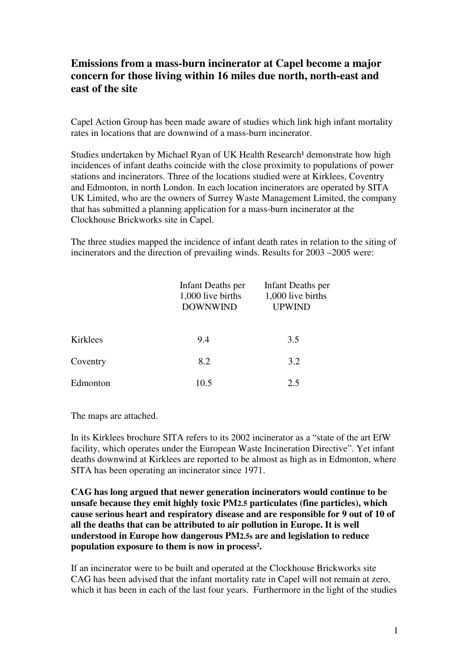## **Emissions from a mass-burn incinerator at Capel become a major concern for those living within 16 miles due north, north-east and east of the site**

Capel Action Group has been made aware of studies which link high infant mortality rates in locations that are downwind of a mass-burn incinerator.

Studies undertaken by Michael Ryan of UK Health Research<sup>1</sup> demonstrate how high incidences of infant deaths coincide with the close proximity to populations of power stations and incinerators. Three of the locations studied were at Kirklees, Coventry and Edmonton, in north London. In each location incinerators are operated by SITA UK Limited, who are the owners of Surrey Waste Management Limited, the company that has submitted a planning application for a mass-burn incinerator at the Clockhouse Brickworks site in Capel.

The three studies mapped the incidence of infant death rates in relation to the siting of incinerators and the direction of prevailing winds. Results for 2003 –2005 were:

|          | Infant Deaths per<br>1,000 live births<br><b>DOWNWIND</b> | Infant Deaths per<br>1,000 live births<br><b>UPWIND</b> |
|----------|-----------------------------------------------------------|---------------------------------------------------------|
| Kirklees | 9.4                                                       | 3.5                                                     |
| Coventry | 8.2                                                       | 3.2                                                     |
| Edmonton | 10.5                                                      | 2.5                                                     |

The maps are attached.

In its Kirklees brochure SITA refers to its 2002 incinerator as a "state of the art EfW facility, which operates under the European Waste Incineration Directive". Yet infant deaths downwind at Kirklees are reported to be almost as high as in Edmonton, where SITA has been operating an incinerator since 1971.

**CAG has long argued that newer generation incinerators would continue to be unsafe because they emit highly toxic PM2.5 particulates (fine particles), which cause serious heart and respiratory disease and are responsible for 9 out of 10 of all the deaths that can be attributed to air pollution in Europe. It is well understood in Europe how dangerous PM2.5s are and legislation to reduce population exposure to them is now in process².** 

If an incinerator were to be built and operated at the Clockhouse Brickworks site CAG has been advised that the infant mortality rate in Capel will not remain at zero, which it has been in each of the last four years. Furthermore in the light of the studies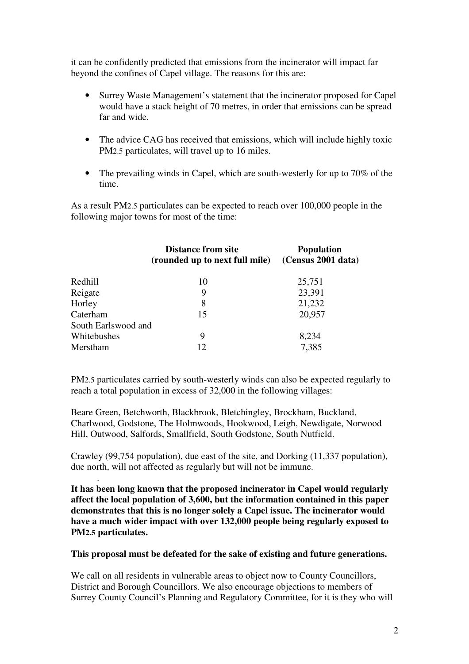it can be confidently predicted that emissions from the incinerator will impact far beyond the confines of Capel village. The reasons for this are:

- Surrey Waste Management's statement that the incinerator proposed for Capel would have a stack height of 70 metres, in order that emissions can be spread far and wide.
- The advice CAG has received that emissions, which will include highly toxic PM2.5 particulates, will travel up to 16 miles.
- The prevailing winds in Capel, which are south-westerly for up to 70% of the time.

As a result PM2.5 particulates can be expected to reach over 100,000 people in the following major towns for most of the time:

|                     | <b>Distance from site</b><br>(rounded up to next full mile) | <b>Population</b><br>(Census 2001 data) |
|---------------------|-------------------------------------------------------------|-----------------------------------------|
| Redhill             | 10                                                          | 25,751                                  |
| Reigate             | 9                                                           | 23,391                                  |
| Horley              | 8                                                           | 21,232                                  |
| Caterham            | 15                                                          | 20,957                                  |
| South Earlswood and |                                                             |                                         |
| Whitebushes         | 9                                                           | 8,234                                   |
| Merstham            | 12                                                          | 7,385                                   |

PM2.5 particulates carried by south-westerly winds can also be expected regularly to reach a total population in excess of 32,000 in the following villages:

Beare Green, Betchworth, Blackbrook, Bletchingley, Brockham, Buckland, Charlwood, Godstone, The Holmwoods, Hookwood, Leigh, Newdigate, Norwood Hill, Outwood, Salfords, Smallfield, South Godstone, South Nutfield.

Crawley (99,754 population), due east of the site, and Dorking (11,337 population), due north, will not affected as regularly but will not be immune.

.

**It has been long known that the proposed incinerator in Capel would regularly affect the local population of 3,600, but the information contained in this paper demonstrates that this is no longer solely a Capel issue. The incinerator would have a much wider impact with over 132,000 people being regularly exposed to PM2.5 particulates.** 

**This proposal must be defeated for the sake of existing and future generations.** 

We call on all residents in vulnerable areas to object now to County Councillors, District and Borough Councillors. We also encourage objections to members of Surrey County Council's Planning and Regulatory Committee, for it is they who will